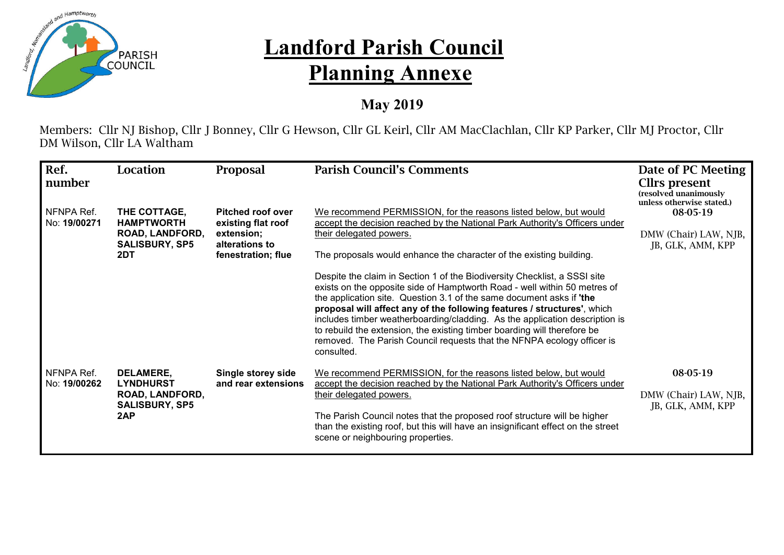

## **Landford Parish Council Planning Annexe**

## **May 2019**

Members: Cllr NJ Bishop, Cllr J Bonney, Cllr G Hewson, Cllr GL Keirl, Cllr AM MacClachlan, Cllr KP Parker, Cllr MJ Proctor, Cllr DM Wilson, Cllr LA Waltham

| Ref.                       | Location                                                                         | <b>Proposal</b>                                    | <b>Parish Council's Comments</b>                                                                                                                                                                                                                                                                                                                                                                                                                                                                                                                             | Date of PC Meeting                                                  |
|----------------------------|----------------------------------------------------------------------------------|----------------------------------------------------|--------------------------------------------------------------------------------------------------------------------------------------------------------------------------------------------------------------------------------------------------------------------------------------------------------------------------------------------------------------------------------------------------------------------------------------------------------------------------------------------------------------------------------------------------------------|---------------------------------------------------------------------|
| number                     |                                                                                  |                                                    |                                                                                                                                                                                                                                                                                                                                                                                                                                                                                                                                                              | Cllrs present<br>(resolved unanimously<br>unless otherwise stated.) |
| NFNPA Ref.<br>No: 19/00271 | THE COTTAGE,<br><b>HAMPTWORTH</b>                                                | <b>Pitched roof over</b><br>existing flat roof     | We recommend PERMISSION, for the reasons listed below, but would<br>accept the decision reached by the National Park Authority's Officers under                                                                                                                                                                                                                                                                                                                                                                                                              | 08-05-19                                                            |
|                            | ROAD, LANDFORD,<br><b>SALISBURY, SP5</b><br>2DT                                  | extension;<br>alterations to<br>fenestration; flue | their delegated powers.                                                                                                                                                                                                                                                                                                                                                                                                                                                                                                                                      | DMW (Chair) LAW, NJB,                                               |
|                            |                                                                                  |                                                    | The proposals would enhance the character of the existing building.                                                                                                                                                                                                                                                                                                                                                                                                                                                                                          | JB, GLK, AMM, KPP                                                   |
|                            |                                                                                  |                                                    | Despite the claim in Section 1 of the Biodiversity Checklist, a SSSI site<br>exists on the opposite side of Hamptworth Road - well within 50 metres of<br>the application site. Question 3.1 of the same document asks if 'the<br>proposal will affect any of the following features / structures', which<br>includes timber weatherboarding/cladding. As the application description is<br>to rebuild the extension, the existing timber boarding will therefore be<br>removed. The Parish Council requests that the NFNPA ecology officer is<br>consulted. |                                                                     |
| NFNPA Ref.<br>No: 19/00262 | DELAMERE,<br><b>LYNDHURST</b><br>ROAD, LANDFORD,<br><b>SALISBURY, SP5</b><br>2AP | Single storey side<br>and rear extensions          | We recommend PERMISSION, for the reasons listed below, but would<br>accept the decision reached by the National Park Authority's Officers under                                                                                                                                                                                                                                                                                                                                                                                                              | 08-05-19                                                            |
|                            |                                                                                  |                                                    | their delegated powers.                                                                                                                                                                                                                                                                                                                                                                                                                                                                                                                                      | DMW (Chair) LAW, NJB,<br>JB, GLK, AMM, KPP                          |
|                            |                                                                                  |                                                    | The Parish Council notes that the proposed roof structure will be higher<br>than the existing roof, but this will have an insignificant effect on the street<br>scene or neighbouring properties.                                                                                                                                                                                                                                                                                                                                                            |                                                                     |